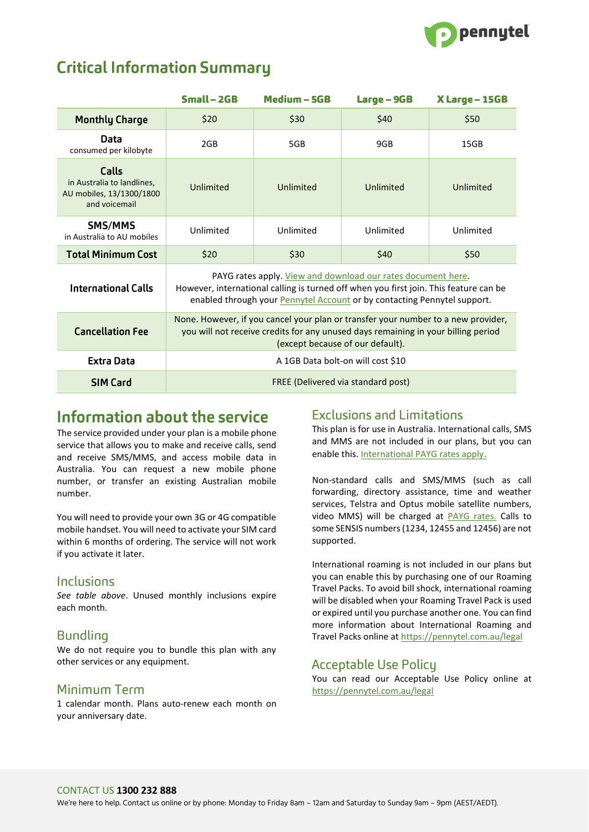

# **Critical Information Summary**

|                                                                                  | $Small - 2GB$                                                                                                                                                                                                                            | Medium - 5GB | Large - 9GB | X Large - 15GB |
|----------------------------------------------------------------------------------|------------------------------------------------------------------------------------------------------------------------------------------------------------------------------------------------------------------------------------------|--------------|-------------|----------------|
| <b>Monthly Charge</b>                                                            | \$20                                                                                                                                                                                                                                     | \$30         | \$40        | \$50           |
| Data<br>consumed per kilobyte                                                    | 2GB                                                                                                                                                                                                                                      | 5GB          | 9GB         | 15GB           |
| Calls<br>in Australia to landlines,<br>AU mobiles, 13/1300/1800<br>and voicemail | Unlimited                                                                                                                                                                                                                                | Unlimited    | Unlimited   | Unlimited      |
| SMS/MMS<br>in Australia to AU mobiles                                            | Unlimited                                                                                                                                                                                                                                | Unlimited    | Unlimited   | Unlimited      |
| <b>Total Minimum Cost</b>                                                        | \$20                                                                                                                                                                                                                                     | \$30         | \$40        | \$50           |
| <b>International Calls</b>                                                       | PAYG rates apply. View and download our rates document here.<br>However, international calling is turned off when you first join. This feature can be<br>enabled through your <b>Pennytel Account</b> or by contacting Pennytel support. |              |             |                |
| <b>Cancellation Fee</b>                                                          | None. However, if you cancel your plan or transfer your number to a new provider,<br>you will not receive credits for any unused days remaining in your billing period<br>(except because of our default).                               |              |             |                |
| Extra Data                                                                       | A 1GB Data bolt-on will cost \$10                                                                                                                                                                                                        |              |             |                |
| <b>SIM Card</b>                                                                  | FREE (Delivered via standard post)                                                                                                                                                                                                       |              |             |                |

## Information about the service

The service provided under your plan is a mobile phone service that allows you to make and receive calls, send and receive SMS/MMS, and access mobile data in Australia. You can request a new mobile phone number, or transfer an existing Australian mobile number.

You will need to provide your own 3G or 4G compatible mobile handset. You will need to activate your SIM card within 6 months of ordering. The service will not work if you activate it later.

#### Inclusions

*See table above*. Unused monthly inclusions expire each month.

#### **Bundling**

We do not require you to bundle this plan with any other services or any equipment.

#### Minimum Term

1 calendar month. Plans auto-renew each month on your anniversary date.

#### **Exclusions and Limitations**

This plan is for use in Australia. International calls, SMS and MMS are not included in our plans, but you can enable this. [International PAYG rates apply](https://pennytel.com.au/legal).

Non-standard calls and SMS/MMS (such as call forwarding, directory assistance, time and weather services, Telstra and Optus mobile satellite numbers, video MMS) will be charged at [PAYG rates.](https://pennytel.com.au/legal) Calls to some SENSIS numbers (1234, 12455 and 12456) are not supported.

International roaming is not included in our plans but you can enable this by purchasing one of our Roaming Travel Packs. To avoid bill shock, international roaming will be disabled when your Roaming Travel Pack is used or expired until you purchase another one. You can find more information about International Roaming and Travel Packs online at<https://pennytel.com.au/legal>

### **Acceptable Use Policy**

You can read our Acceptable Use Policy online at <https://pennytel.com.au/legal>

#### CONTACT US **1300 232 888**

We're here to help. Contact us online or by phone: Monday to Friday 8am – 12am and Saturday to Sunday 9am – 9pm (AEST/AEDT).